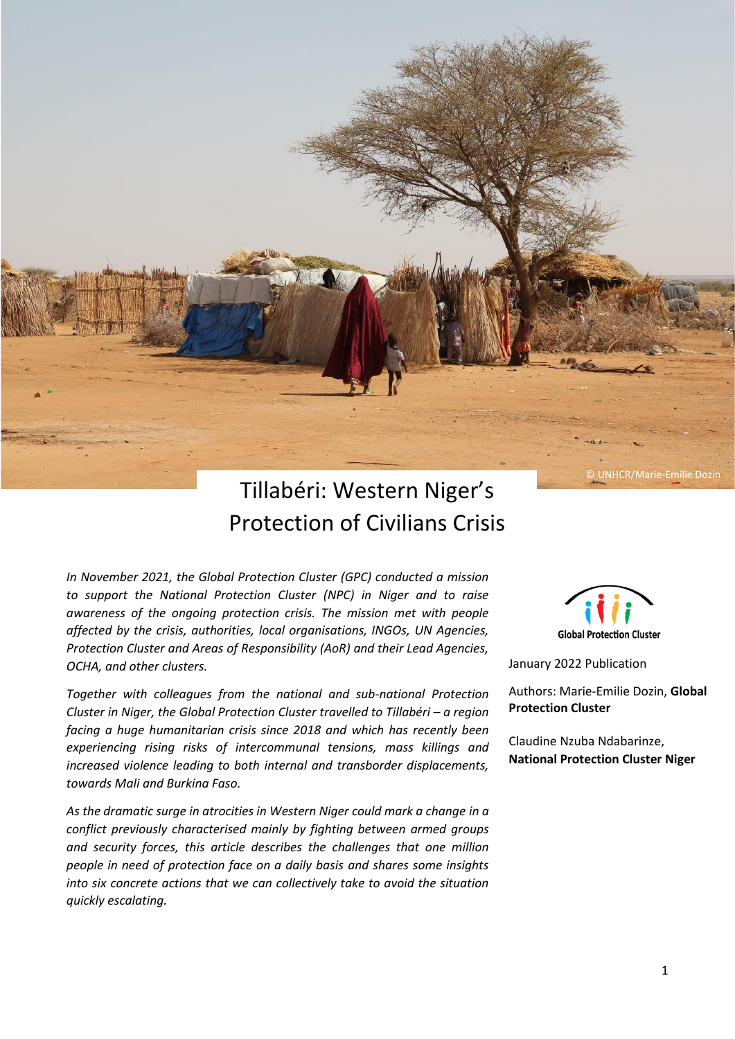

# Tillabéri: Western Niger's Protection of Civilians Crisis

*In November 2021, the Global Protection Cluster (GPC) conducted a mission to support the National Protection Cluster (NPC) in Niger and to raise awareness of the ongoing protection crisis. The mission met with people affected by the crisis, authorities, local organisations, INGOs, UN Agencies, Protection Cluster and Areas of Responsibility (AoR) and their Lead Agencies, OCHA, and other clusters.*

*Together with colleagues from the national and sub-national Protection Cluster in Niger, the Global Protection Cluster travelled to Tillabéri – a region facing a huge humanitarian crisis since 2018 and which has recently been experiencing rising risks of intercommunal tensions, mass killings and increased violence leading to both internal and transborder displacements, towards Mali and Burkina Faso.* 

*As the dramatic surge in atrocities in Western Niger could mark a change in a conflict previously characterised mainly by fighting between armed groups and security forces, this article describes the challenges that one million people in need of protection face on a daily basis and shares some insights into six concrete actions that we can collectively take to avoid the situation quickly escalating.* 

**Global Protection Cluster** 

January 2022 Publication

Authors: Marie-Emilie Dozin, **Global Protection Cluster**

Claudine Nzuba Ndabarinze, **National Protection Cluster Niger**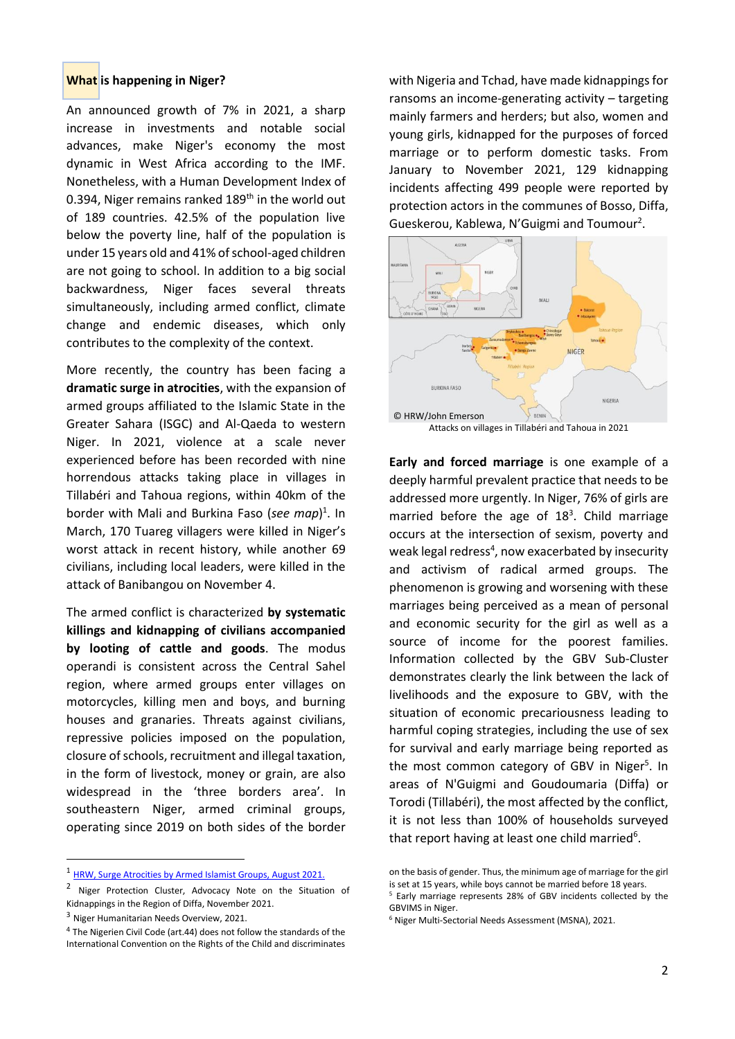#### **What is happening in Niger?**

An announced growth of 7% in 2021, a sharp increase in investments and notable social advances, make Niger's economy the most dynamic in West Africa according to the IMF. Nonetheless, with a Human Development Index of 0.394, Niger remains ranked 189<sup>th</sup> in the world out of 189 countries. 42.5% of the population live below the poverty line, half of the population is under 15 years old and 41% of school-aged children are not going to school. In addition to a big social backwardness, Niger faces several threats simultaneously, including armed conflict, climate change and endemic diseases, which only contributes to the complexity of the context.

More recently, the country has been facing a **dramatic surge in atrocities**, with the expansion of armed groups affiliated to the Islamic State in the Greater Sahara (ISGC) and Al-Qaeda to western Niger. In 2021, violence at a scale never experienced before has been recorded with nine horrendous attacks taking place in villages in Tillabéri and Tahoua regions, within 40km of the border with Mali and Burkina Faso (*see map*) 1 . In March, 170 Tuareg villagers were killed in Niger's worst attack in recent history, while another 69 civilians, including local leaders, were killed in the attack of Banibangou on November 4.

The armed conflict is characterized **by systematic killings and kidnapping of civilians accompanied by looting of cattle and goods**. The modus operandi is consistent across the Central Sahel region, where armed groups enter villages on motorcycles, killing men and boys, and burning houses and granaries. Threats against civilians, repressive policies imposed on the population, closure of schools, recruitment and illegal taxation, in the form of livestock, money or grain, are also widespread in the 'three borders area'. In southeastern Niger, armed criminal groups, operating since 2019 on both sides of the border with Nigeria and Tchad, have made kidnappings for ransoms an income-generating activity – targeting mainly farmers and herders; but also, women and young girls, kidnapped for the purposes of forced marriage or to perform domestic tasks. From January to November 2021, 129 kidnapping incidents affecting 499 people were reported by protection actors in the communes of Bosso, Diffa, Gueskerou, Kablewa, N'Guigmi and Toumour<sup>2</sup>.



**Early and forced marriage** is one example of a deeply harmful prevalent practice that needs to be addressed more urgently. In Niger, 76% of girls are married before the age of  $18<sup>3</sup>$ . Child marriage occurs at the intersection of sexism, poverty and weak legal redress<sup>4</sup>, now exacerbated by insecurity and activism of radical armed groups. The phenomenon is growing and worsening with these marriages being perceived as a mean of personal and economic security for the girl as well as a source of income for the poorest families. Information collected by the GBV Sub-Cluster demonstrates clearly the link between the lack of livelihoods and the exposure to GBV, with the situation of economic precariousness leading to harmful coping strategies, including the use of sex for survival and early marriage being reported as the most common category of GBV in Niger<sup>5</sup>. In areas of N'Guigmi and Goudoumaria (Diffa) or Torodi (Tillabéri), the most affected by the conflict, it is not less than 100% of households surveyed that report having at least one child married<sup>6</sup>.

<sup>1</sup> [HRW, Surge Atrocities by Armed Islamist Groups, August 2021.](https://www.hrw.org/node/379457/printable/print)

<sup>&</sup>lt;sup>2</sup> Niger Protection Cluster, Advocacy Note on the Situation of Kidnappings in the Region of Diffa, November 2021.

<sup>3</sup> Niger Humanitarian Needs Overview, 2021.

<sup>4</sup> The Nigerien Civil Code (art.44) does not follow the standards of the International Convention on the Rights of the Child and discriminates

on the basis of gender. Thus, the minimum age of marriage for the girl is set at 15 years, while boys cannot be married before 18 years. <sup>5</sup> Early marriage represents 28% of GBV incidents collected by the GBVIMS in Niger.

<sup>6</sup> Niger Multi-Sectorial Needs Assessment (MSNA), 2021.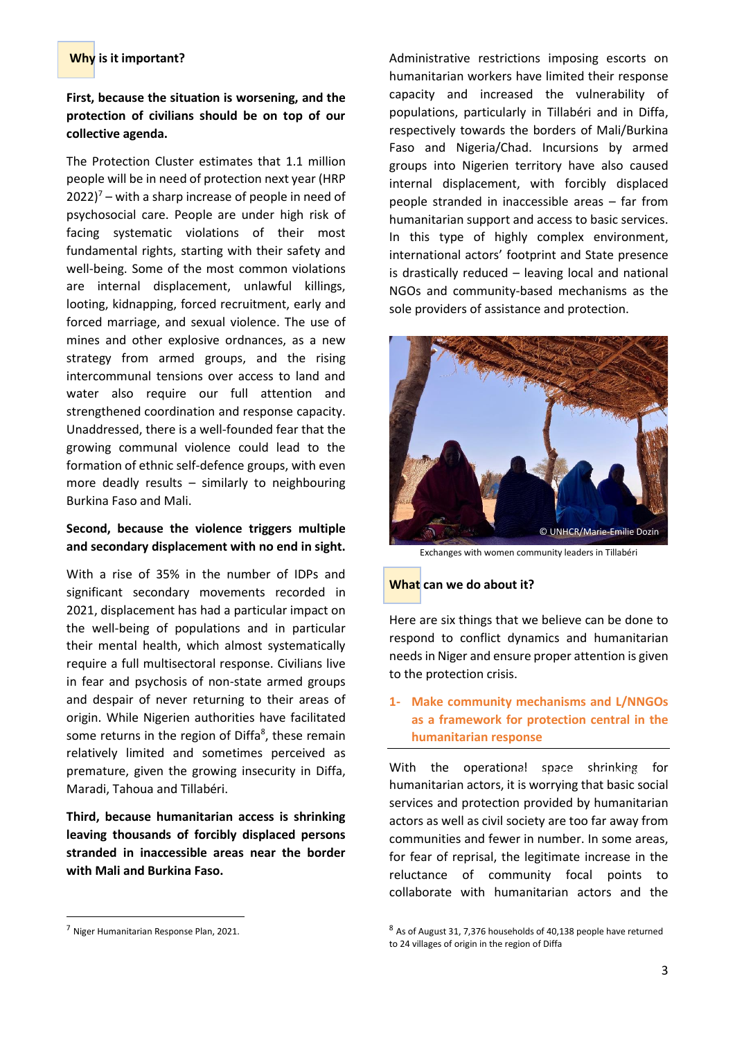# **Why is it important?**

# **First, because the situation is worsening, and the protection of civilians should be on top of our collective agenda.**

The Protection Cluster estimates that 1.1 million people will be in need of protection next year (HRP  $2022$ <sup>7</sup> – with a sharp increase of people in need of psychosocial care. People are under high risk of facing systematic violations of their most fundamental rights, starting with their safety and well-being. Some of the most common violations are internal displacement, unlawful killings, looting, kidnapping, forced recruitment, early and forced marriage, and sexual violence. The use of mines and other explosive ordnances, as a new strategy from armed groups, and the rising intercommunal tensions over access to land and water also require our full attention and strengthened coordination and response capacity. Unaddressed, there is a well-founded fear that the growing communal violence could lead to the formation of ethnic self-defence groups, with even more deadly results – similarly to neighbouring Burkina Faso and Mali.

# **Second, because the violence triggers multiple and secondary displacement with no end in sight.**

With a rise of 35% in the number of IDPs and significant secondary movements recorded in 2021, displacement has had a particular impact on the well-being of populations and in particular their mental health, which almost systematically require a full multisectoral response. Civilians live in fear and psychosis of non-state armed groups and despair of never returning to their areas of origin. While Nigerien authorities have facilitated some returns in the region of Diffa<sup>8</sup>, these remain relatively limited and sometimes perceived as premature, given the growing insecurity in Diffa, Maradi, Tahoua and Tillabéri.

**Third, because humanitarian access is shrinking leaving thousands of forcibly displaced persons stranded in inaccessible areas near the border with Mali and Burkina Faso.** 

Administrative restrictions imposing escorts on humanitarian workers have limited their response capacity and increased the vulnerability of populations, particularly in Tillabéri and in Diffa, respectively towards the borders of Mali/Burkina Faso and Nigeria/Chad. Incursions by armed groups into Nigerien territory have also caused internal displacement, with forcibly displaced people stranded in inaccessible areas – far from humanitarian support and access to basic services. In this type of highly complex environment, international actors' footprint and State presence is drastically reduced – leaving local and national NGOs and community-based mechanisms as the sole providers of assistance and protection.



Exchanges with women community leaders in Tillabéri

#### **What can we do about it?**

Here are six things that we believe can be done to respond to conflict dynamics and humanitarian needs in Niger and ensure proper attention is given to the protection crisis.

# **1- Make community mechanisms and L/NNGOs as a framework for protection central in the humanitarian response**

With the operational space shrinking for humanitarian actors, it is worrying that basic social services and protection provided by humanitarian actors as well as civil society are too far away from communities and fewer in number. In some areas, for fear of reprisal, the legitimate increase in the reluctance of community focal points to collaborate with humanitarian actors and the

<sup>7</sup> Niger Humanitarian Response Plan, 2021.

<sup>8</sup> As of August 31, 7,376 households of 40,138 people have returned to 24 villages of origin in the region of Diffa